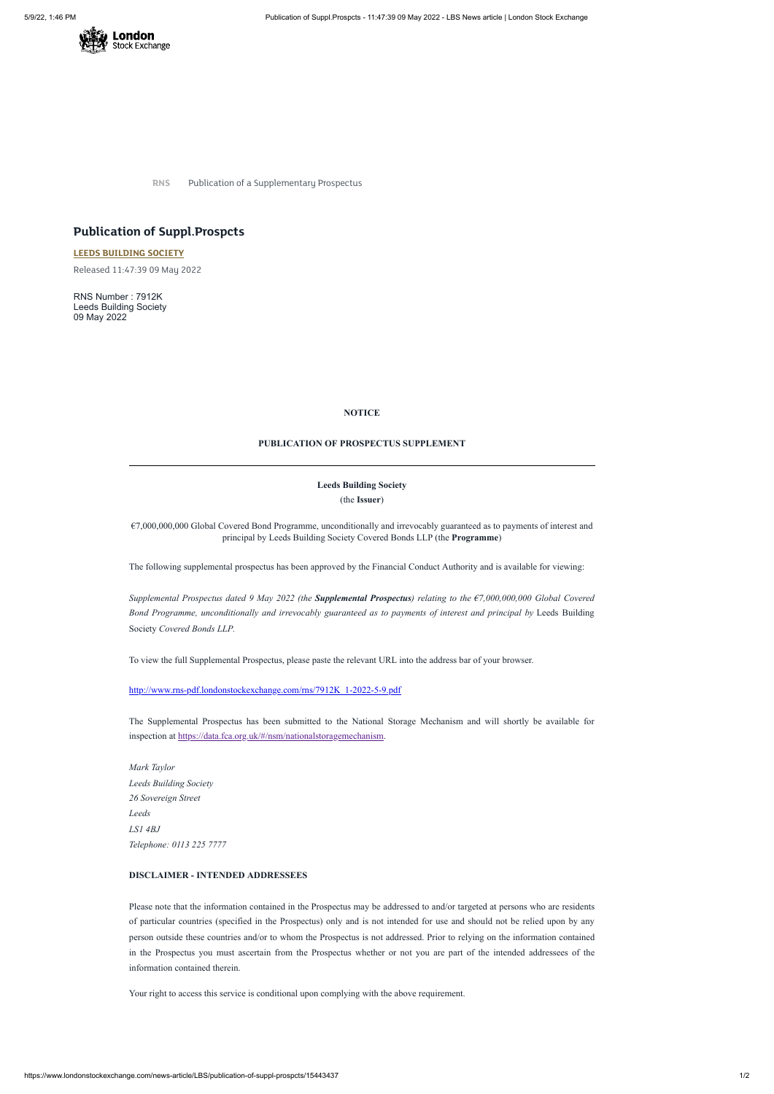

**RNS** Publication of a Supplementary Prospectus

# **Publication of Suppl.Prospcts**

**LEEDS [BUILDING](https://www.londonstockexchange.com/stock/LBS/leeds-building-society) SOCIETY**

Released 11:47:39 09 May 2022

RNS Number : 7912K Leeds Building Society 09 May 2022

# **NOTICE**

#### **PUBLICATION OF PROSPECTUS SUPPLEMENT**

## **Leeds Building Society**

(the **Issuer**)

Supplemental Prospectus dated 9 May 2022 (the Supplemental Prospectus) relating to the  $\epsilon$ 7,000,000,000 Global Covered *Bond Programme, unconditionally and irrevocably guaranteed as to payments of interest and principal by* Leeds Building Society *Covered Bonds LLP.*

€7,000,000,000 Global Covered Bond Programme, unconditionally and irrevocably guaranteed as to payments of interest and principal by Leeds Building Society Covered Bonds LLP (the **Programme**)

The following supplemental prospectus has been approved by the Financial Conduct Authority and is available for viewing:

To view the full Supplemental Prospectus, please paste the relevant URL into the address bar of your browser.

[http://www.rns-pdf.londonstockexchange.com/rns/7912K\\_1-2022-5-9.pdf](http://www.rns-pdf.londonstockexchange.com/rns/7912K_1-2022-5-9.pdf)

The Supplemental Prospectus has been submitted to the National Storage Mechanism and will shortly be available for inspection at [https://data.fca.org.uk/#/nsm/nationalstoragemechanism.](https://data.fca.org.uk/#/nsm/nationalstoragemechanism)

*Mark Taylor Leeds Building Society 26 Sovereign Street Leeds*

*LS1 4BJ*

*Telephone: 0113 225 7777*

# **DISCLAIMER - INTENDED ADDRESSEES**

Please note that the information contained in the Prospectus may be addressed to and/or targeted at persons who are residents of particular countries (specified in the Prospectus) only and is not intended for use and should not be relied upon by any person outside these countries and/or to whom the Prospectus is not addressed. Prior to relying on the information contained in the Prospectus you must ascertain from the Prospectus whether or not you are part of the intended addressees of the information contained therein.

Your right to access this service is conditional upon complying with the above requirement.